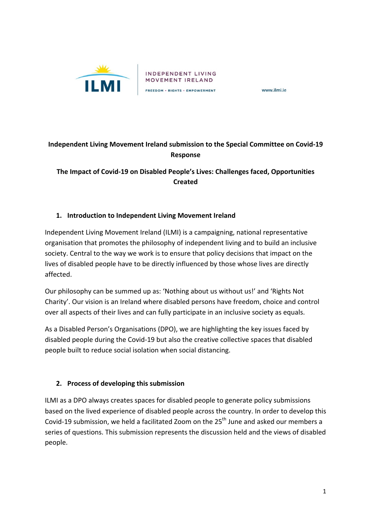

www.ilmi.ie

# **Independent Living Movement Ireland submission to the Special Committee on Covid-19 Response**

**The Impact of Covid-19 on Disabled People's Lives: Challenges faced, Opportunities Created** 

## 1. **Introduction to Independent Living Movement Ireland**

Independent Living Movement Ireland (ILMI) is a campaigning, national representative organisation that promotes the philosophy of independent living and to build an inclusive society. Central to the way we work is to ensure that policy decisions that impact on the lives of disabled people have to be directly influenced by those whose lives are directly affected. 

Our philosophy can be summed up as: 'Nothing about us without us!' and 'Rights Not Charity'. Our vision is an Ireland where disabled persons have freedom, choice and control over all aspects of their lives and can fully participate in an inclusive society as equals.

As a Disabled Person's Organisations (DPO), we are highlighting the key issues faced by disabled people during the Covid-19 but also the creative collective spaces that disabled people built to reduce social isolation when social distancing.

#### **2.** Process of developing this submission

ILMI as a DPO always creates spaces for disabled people to generate policy submissions based on the lived experience of disabled people across the country. In order to develop this Covid-19 submission, we held a facilitated Zoom on the 25<sup>th</sup> June and asked our members a series of questions. This submission represents the discussion held and the views of disabled people.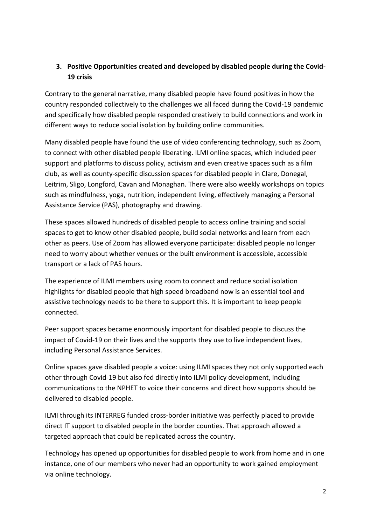## **3.** Positive Opportunities created and developed by disabled people during the Covid-**19 crisis**

Contrary to the general narrative, many disabled people have found positives in how the country responded collectively to the challenges we all faced during the Covid-19 pandemic and specifically how disabled people responded creatively to build connections and work in different ways to reduce social isolation by building online communities.

Many disabled people have found the use of video conferencing technology, such as Zoom, to connect with other disabled people liberating. ILMI online spaces, which included peer support and platforms to discuss policy, activism and even creative spaces such as a film club, as well as county-specific discussion spaces for disabled people in Clare, Donegal, Leitrim, Sligo, Longford, Cavan and Monaghan. There were also weekly workshops on topics such as mindfulness, yoga, nutrition, independent living, effectively managing a Personal Assistance Service (PAS), photography and drawing.

These spaces allowed hundreds of disabled people to access online training and social spaces to get to know other disabled people, build social networks and learn from each other as peers. Use of Zoom has allowed everyone participate: disabled people no longer need to worry about whether venues or the built environment is accessible, accessible transport or a lack of PAS hours.

The experience of ILMI members using zoom to connect and reduce social isolation highlights for disabled people that high speed broadband now is an essential tool and assistive technology needs to be there to support this. It is important to keep people connected.

Peer support spaces became enormously important for disabled people to discuss the impact of Covid-19 on their lives and the supports they use to live independent lives, including Personal Assistance Services.

Online spaces gave disabled people a voice: using ILMI spaces they not only supported each other through Covid-19 but also fed directly into ILMI policy development, including communications to the NPHET to voice their concerns and direct how supports should be delivered to disabled people.

ILMI through its INTERREG funded cross-border initiative was perfectly placed to provide direct IT support to disabled people in the border counties. That approach allowed a targeted approach that could be replicated across the country.

Technology has opened up opportunities for disabled people to work from home and in one instance, one of our members who never had an opportunity to work gained employment via online technology.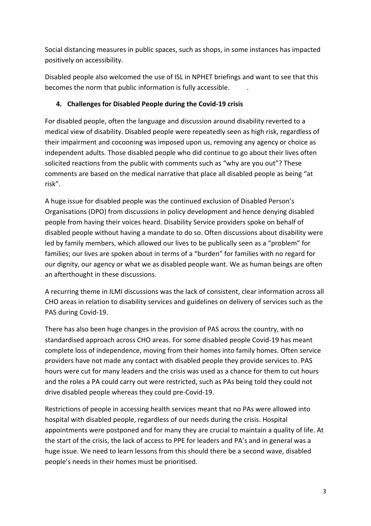Social distancing measures in public spaces, such as shops, in some instances has impacted positively on accessibility.

Disabled people also welcomed the use of ISL in NPHET briefings and want to see that this becomes the norm that public information is fully accessible.

## 4. Challenges for Disabled People during the Covid-19 crisis

For disabled people, often the language and discussion around disability reverted to a medical view of disability. Disabled people were repeatedly seen as high risk, regardless of their impairment and cocooning was imposed upon us, removing any agency or choice as independent adults. Those disabled people who did continue to go about their lives often solicited reactions from the public with comments such as "why are you out"? These comments are based on the medical narrative that place all disabled people as being "at risk".

A huge issue for disabled people was the continued exclusion of Disabled Person's Organisations (DPO) from discussions in policy development and hence denying disabled people from having their voices heard. Disability Service providers spoke on behalf of disabled people without having a mandate to do so. Often discussions about disability were led by family members, which allowed our lives to be publically seen as a "problem" for families; our lives are spoken about in terms of a "burden" for families with no regard for our dignity, our agency or what we as disabled people want. We as human beings are often an afterthought in these discussions.

A recurring theme in ILMI discussions was the lack of consistent, clear information across all CHO areas in relation to disability services and guidelines on delivery of services such as the PAS during Covid-19.

There has also been huge changes in the provision of PAS across the country, with no standardised approach across CHO areas. For some disabled people Covid-19 has meant complete loss of independence, moving from their homes into family homes. Often service providers have not made any contact with disabled people they provide services to. PAS hours were cut for many leaders and the crisis was used as a chance for them to cut hours and the roles a PA could carry out were restricted, such as PAs being told they could not drive disabled people whereas they could pre-Covid-19.

Restrictions of people in accessing health services meant that no PAs were allowed into hospital with disabled people, regardless of our needs during the crisis. Hospital appointments were postponed and for many they are crucial to maintain a quality of life. At the start of the crisis, the lack of access to PPE for leaders and PA's and in general was a huge issue. We need to learn lessons from this should there be a second wave, disabled people's needs in their homes must be prioritised.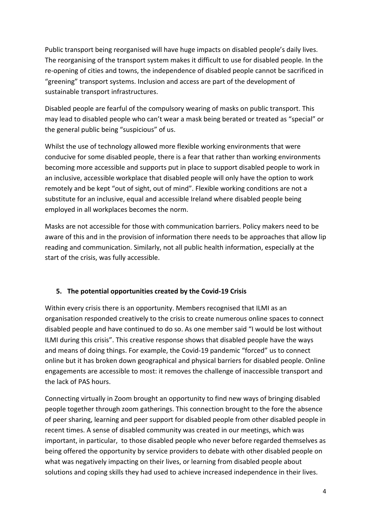Public transport being reorganised will have huge impacts on disabled people's daily lives. The reorganising of the transport system makes it difficult to use for disabled people. In the re-opening of cities and towns, the independence of disabled people cannot be sacrificed in "greening" transport systems. Inclusion and access are part of the development of sustainable transport infrastructures.

Disabled people are fearful of the compulsory wearing of masks on public transport. This may lead to disabled people who can't wear a mask being berated or treated as "special" or the general public being "suspicious" of us.

Whilst the use of technology allowed more flexible working environments that were conducive for some disabled people, there is a fear that rather than working environments becoming more accessible and supports put in place to support disabled people to work in an inclusive, accessible workplace that disabled people will only have the option to work remotely and be kept "out of sight, out of mind". Flexible working conditions are not a substitute for an inclusive, equal and accessible Ireland where disabled people being employed in all workplaces becomes the norm.

Masks are not accessible for those with communication barriers. Policy makers need to be aware of this and in the provision of information there needs to be approaches that allow lip reading and communication. Similarly, not all public health information, especially at the start of the crisis, was fully accessible.

## **5.** The potential opportunities created by the Covid-19 Crisis

Within every crisis there is an opportunity. Members recognised that ILMI as an organisation responded creatively to the crisis to create numerous online spaces to connect disabled people and have continued to do so. As one member said "I would be lost without ILMI during this crisis". This creative response shows that disabled people have the ways and means of doing things. For example, the Covid-19 pandemic "forced" us to connect online but it has broken down geographical and physical barriers for disabled people. Online engagements are accessible to most: it removes the challenge of inaccessible transport and the lack of PAS hours.

Connecting virtually in Zoom brought an opportunity to find new ways of bringing disabled people together through zoom gatherings. This connection brought to the fore the absence of peer sharing, learning and peer support for disabled people from other disabled people in recent times. A sense of disabled community was created in our meetings, which was important, in particular, to those disabled people who never before regarded themselves as being offered the opportunity by service providers to debate with other disabled people on what was negatively impacting on their lives, or learning from disabled people about solutions and coping skills they had used to achieve increased independence in their lives.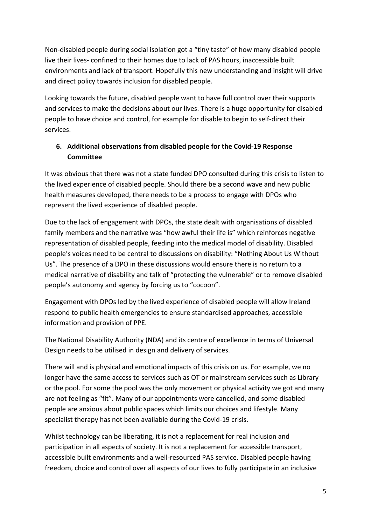Non-disabled people during social isolation got a "tiny taste" of how many disabled people live their lives- confined to their homes due to lack of PAS hours, inaccessible built environments and lack of transport. Hopefully this new understanding and insight will drive and direct policy towards inclusion for disabled people.

Looking towards the future, disabled people want to have full control over their supports and services to make the decisions about our lives. There is a huge opportunity for disabled people to have choice and control, for example for disable to begin to self-direct their services. 

# **6.** Additional observations from disabled people for the Covid-19 Response **Committee**

It was obvious that there was not a state funded DPO consulted during this crisis to listen to the lived experience of disabled people. Should there be a second wave and new public health measures developed, there needs to be a process to engage with DPOs who represent the lived experience of disabled people.

Due to the lack of engagement with DPOs, the state dealt with organisations of disabled family members and the narrative was "how awful their life is" which reinforces negative representation of disabled people, feeding into the medical model of disability. Disabled people's voices need to be central to discussions on disability: "Nothing About Us Without Us". The presence of a DPO in these discussions would ensure there is no return to a medical narrative of disability and talk of "protecting the vulnerable" or to remove disabled people's autonomy and agency by forcing us to "cocoon".

Engagement with DPOs led by the lived experience of disabled people will allow Ireland respond to public health emergencies to ensure standardised approaches, accessible information and provision of PPE.

The National Disability Authority (NDA) and its centre of excellence in terms of Universal Design needs to be utilised in design and delivery of services.

There will and is physical and emotional impacts of this crisis on us. For example, we no longer have the same access to services such as OT or mainstream services such as Library or the pool. For some the pool was the only movement or physical activity we got and many are not feeling as "fit". Many of our appointments were cancelled, and some disabled people are anxious about public spaces which limits our choices and lifestyle. Many specialist therapy has not been available during the Covid-19 crisis.

Whilst technology can be liberating, it is not a replacement for real inclusion and participation in all aspects of society. It is not a replacement for accessible transport, accessible built environments and a well-resourced PAS service. Disabled people having freedom, choice and control over all aspects of our lives to fully participate in an inclusive